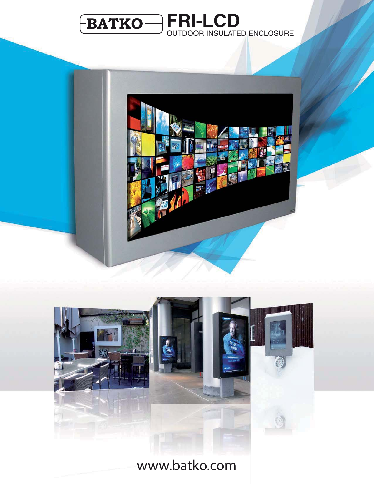





www.batko.com